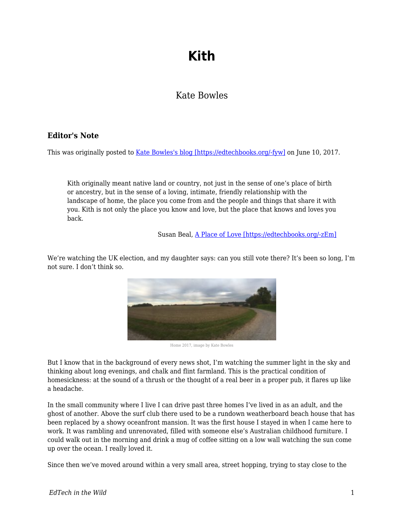## **Kith**

## Kate Bowles

## **Editor's Note**

This was originally posted to [Kate Bowles's blog \[https://edtechbooks.org/-fyw\]](http://musicfordeckchairs.com/blog/2017/06/10/kith/) on June 10, 2017.

Kith originally meant native land or country, not just in the sense of one's place of birth or ancestry, but in the sense of a loving, intimate, friendly relationship with the landscape of home, the place you come from and the people and things that share it with you. Kith is not only the place you know and love, but the place that knows and loves you back.

Susan Beal, [A Place of Love \[https://edtechbooks.org/-zEm\]](https://lorian.org/a-place-of-love/)

We're watching the UK election, and my daughter says: can you still vote there? It's been so long, I'm not sure. I don't think so.



Home 2017, image by Kate Bowles

But I know that in the background of every news shot, I'm watching the summer light in the sky and thinking about long evenings, and chalk and flint farmland. This is the practical condition of homesickness: at the sound of a thrush or the thought of a real beer in a proper pub, it flares up like a headache.

In the small community where I live I can drive past three homes I've lived in as an adult, and the ghost of another. Above the surf club there used to be a rundown weatherboard beach house that has been replaced by a showy oceanfront mansion. It was the first house I stayed in when I came here to work. It was rambling and unrenovated, filled with someone else's Australian childhood furniture. I could walk out in the morning and drink a mug of coffee sitting on a low wall watching the sun come up over the ocean. I really loved it.

Since then we've moved around within a very small area, street hopping, trying to stay close to the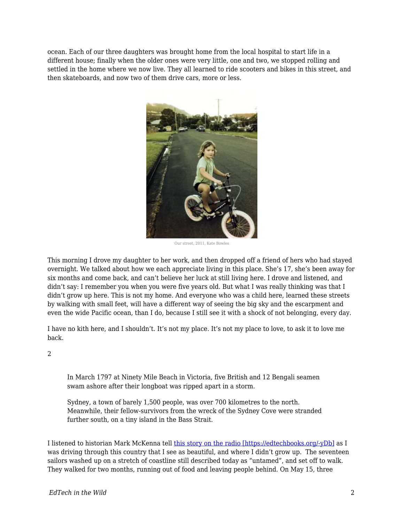ocean. Each of our three daughters was brought home from the local hospital to start life in a different house; finally when the older ones were very little, one and two, we stopped rolling and settled in the home where we now live. They all learned to ride scooters and bikes in this street, and then skateboards, and now two of them drive cars, more or less.



Our street, 2011, Kate Bowles

This morning I drove my daughter to her work, and then dropped off a friend of hers who had stayed overnight. We talked about how we each appreciate living in this place. She's 17, she's been away for six months and come back, and can't believe her luck at still living here. I drove and listened, and didn't say: I remember you when you were five years old. But what I was really thinking was that I didn't grow up here. This is not my home. And everyone who was a child here, learned these streets by walking with small feet, will have a different way of seeing the big sky and the escarpment and even the wide Pacific ocean, than I do, because I still see it with a shock of not belonging, every day.

I have no kith here, and I shouldn't. It's not my place. It's not my place to love, to ask it to love me back.

 $\overline{2}$ 

In March 1797 at Ninety Mile Beach in Victoria, five British and 12 Bengali seamen swam ashore after their longboat was ripped apart in a storm.

Sydney, a town of barely 1,500 people, was over 700 kilometres to the north. Meanwhile, their fellow-survivors from the wreck of the Sydney Cove were stranded further south, on a tiny island in the Bass Strait.

I listened to historian Mark McKenna tell [this story on the radio \[https://edtechbooks.org/-yDb\]](http://www.abc.net.au/news/2017-05-30/survival-story-sydney-coves-shipwrecked-sailors/8536714) as I was driving through this country that I see as beautiful, and where I didn't grow up. The seventeen sailors washed up on a stretch of coastline still described today as "untamed", and set off to walk. They walked for two months, running out of food and leaving people behind. On May 15, three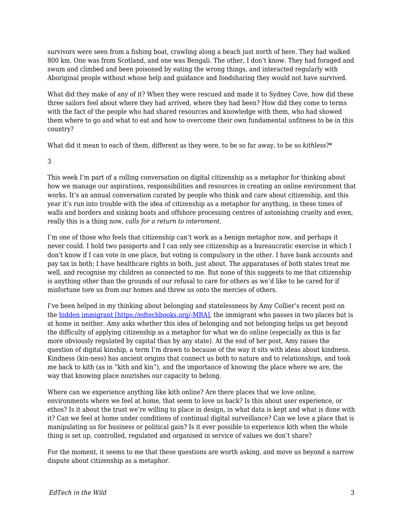survivors were seen from a fishing boat, crawling along a beach just north of here. They had walked 800 km. One was from Scotland, and one was Bengali. The other, I don't know. They had foraged and swum and climbed and been poisoned by eating the wrong things, and interacted regularly with Aboriginal people without whose help and guidance and foodsharing they would not have survived.

What did they make of any of it? When they were rescued and made it to Sydney Cove, how did these three sailors feel about where they had arrived, where they had been? How did they come to terms with the fact of the people who had shared resources and knowledge with them, who had showed them where to go and what to eat and how to overcome their own fundamental unfitness to be in this country?

What did it mean to each of them, different as they were, to be so far away, to be so *kithless*?\*

3

This week I'm part of a rolling conversation on digital citizenship as a metaphor for thinking about how we manage our aspirations, responsibilities and resources in creating an online environment that works. It's an annual conversation curated by people who think and care about citizenship, and this year it's run into trouble with the idea of citizenship as a metaphor for anything, in these times of walls and borders and sinking boats and offshore processing centres of astonishing cruelty and even, really this is a thing now, *calls for a return to internment.*

I'm one of those who feels that citizenship can't work as a benign metaphor now, and perhaps it never could. I hold two passports and I can only see citizenship as a bureaucratic exercise in which I don't know if I can vote in one place, but voting is compulsory in the other. I have bank accounts and pay tax in both; I have healthcare rights in both, just about. The apparatuses of both states treat me well, and recognise my children as connected to me. But none of this suggests to me that citizenship is anything other than the grounds of our refusal to care for others as we'd like to be cared for if misfortune tore us from our homes and threw us onto the mercies of others.

I've been helped in my thinking about belonging and statelessness by Amy Collier's recent post on the [hidden immigrant \[https://edtechbooks.org/-MRA\]](http://redpincushion.us/blog/teaching-and-learning/hidden-immigrants-belonging/), the immigrant who passes in two places but is at home in neither. Amy asks whether this idea of belonging and not belonging helps us get beyond the difficulty of applying citizenship as a metaphor for what we do online (especially as this is far more obviously regulated by capital than by any state). At the end of her post, Amy raises the question of digital kinship, a term I'm drawn to because of the way it sits with ideas about kindness. Kindness (kin-ness) has ancient origins that connect us both to nature and to relationships, and took me back to kith (as in "kith and kin"), and the importance of knowing the place where we are, the way that knowing place nourishes our capacity to belong.

Where can we experience anything like kith online? Are there places that we love online, environments where we feel at home, that seem to love us back? Is this about user experience, or ethos? Is it about the trust we're willing to place in design, in what data is kept and what is done with it? Can we feel at home under conditions of continual digital surveillance? Can we love a place that is manipulating us for business or political gain? Is it ever possible to experience kith when the whole thing is set up, controlled, regulated and organised in service of values we don't share?

For the moment, it seems to me that these questions are worth asking, and move us beyond a narrow dispute about citizenship as a metaphor.